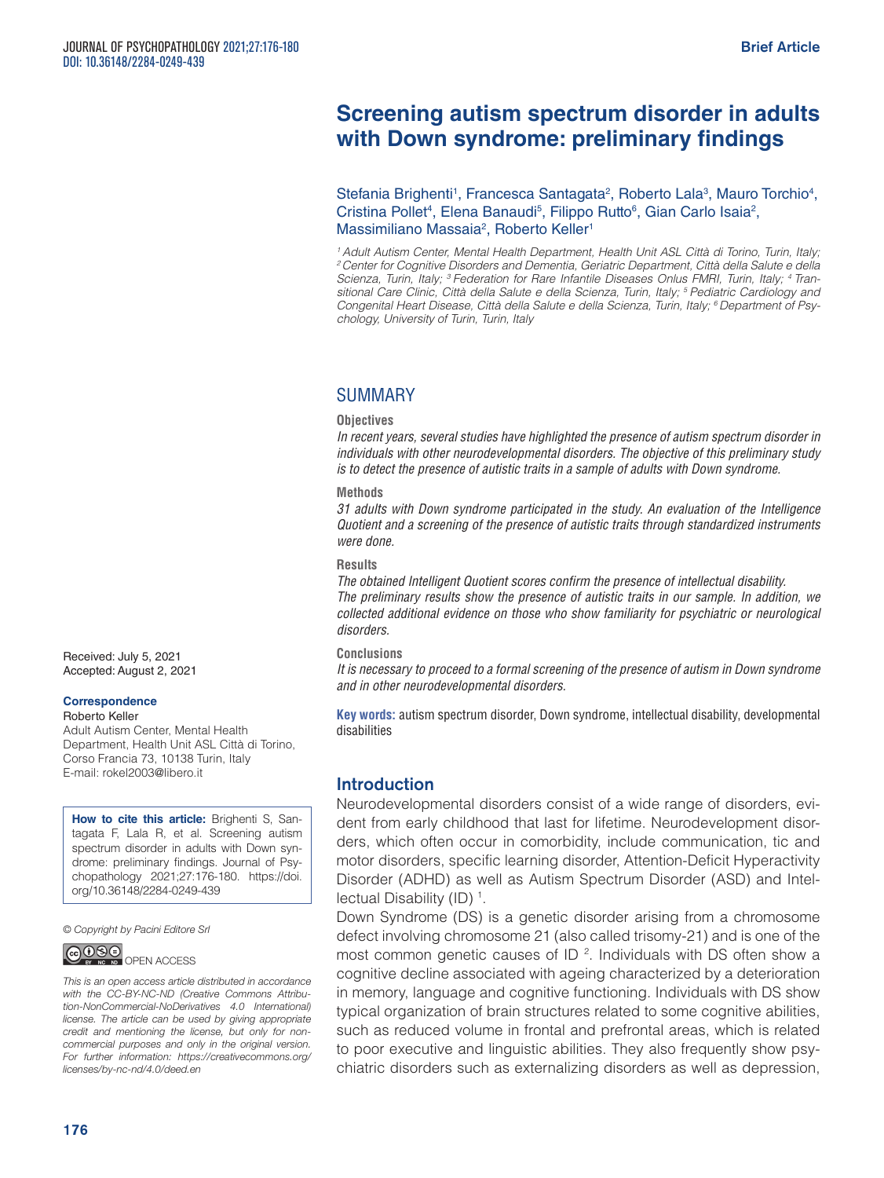# **Screening autism spectrum disorder in adults with Down syndrome: preliminary findings**

Stefania Brighenti<sup>1</sup>, Francesca Santagata<sup>2</sup>, Roberto Lala<sup>3</sup>, Mauro Torchio<sup>4</sup>, Cristina Pollet<sup>4</sup>, Elena Banaudi<sup>5</sup>, Filippo Rutto<sup>6</sup>, Gian Carlo Isaia<sup>2</sup>, Massimiliano Massaia<sup>2</sup>, Roberto Keller<sup>1</sup>

*1 Adult Autism Center, Mental Health Department, Health Unit ASL Città di Torino, Turin, Italy; 2 Center for Cognitive Disorders and Dementia, Geriatric Department, Città della Salute e della Scienza, Turin, Italy; 3 Federation for Rare Infantile Diseases Onlus FMRI, Turin, Italy; 4 Transitional Care Clinic, Città della Salute e della Scienza, Turin, Italy; 5 Pediatric Cardiology and Congenital Heart Disease, Città della Salute e della Scienza, Turin, Italy; 6 Department of Psychology, University of Turin, Turin, Italy*

### **SUMMARY**

#### **Objectives**

*In recent years, several studies have highlighted the presence of autism spectrum disorder in individuals with other neurodevelopmental disorders. The objective of this preliminary study is to detect the presence of autistic traits in a sample of adults with Down syndrome.*

#### **Methods**

*31 adults with Down syndrome participated in the study. An evaluation of the Intelligence Quotient and a screening of the presence of autistic traits through standardized instruments were done.*

#### **Results**

*The obtained Intelligent Quotient scores confirm the presence of intellectual disability. The preliminary results show the presence of autistic traits in our sample. In addition, we collected additional evidence on those who show familiarity for psychiatric or neurological disorders.*

#### **Conclusions**

*It is necessary to proceed to a formal screening of the presence of autism in Down syndrome and in other neurodevelopmental disorders.*

**Key words:** autism spectrum disorder, Down syndrome, intellectual disability, developmental disabilities

### Introduction

Neurodevelopmental disorders consist of a wide range of disorders, evident from early childhood that last for lifetime. Neurodevelopment disorders, which often occur in comorbidity, include communication, tic and motor disorders, specific learning disorder, Attention-Deficit Hyperactivity Disorder (ADHD) as well as Autism Spectrum Disorder (ASD) and Intellectual Disability (ID) <sup>1</sup>.

Down Syndrome (DS) is a genetic disorder arising from a chromosome defect involving chromosome 21 (also called trisomy-21) and is one of the most common genetic causes of ID  $^2$ . Individuals with DS often show a cognitive decline associated with ageing characterized by a deterioration in memory, language and cognitive functioning. Individuals with DS show typical organization of brain structures related to some cognitive abilities, such as reduced volume in frontal and prefrontal areas, which is related to poor executive and linguistic abilities. They also frequently show psychiatric disorders such as externalizing disorders as well as depression,

Received: July 5, 2021 Accepted: August 2, 2021

#### **Correspondence**

Roberto Keller Adult Autism Center, Mental Health Department, Health Unit ASL Città di Torino, Corso Francia 73, 10138 Turin, Italy E-mail: rokel2003@libero.it

**How to cite this article:** Brighenti S, Santagata F, Lala R, et al. Screening autism spectrum disorder in adults with Down syndrome: preliminary findings. Journal of Psychopathology 2021;27:176-180. https://doi. org/10.36148/2284-0249-439

*© Copyright by Pacini Editore Srl*



*This is an open access article distributed in accordance with the CC-BY-NC-ND (Creative Commons Attribution-NonCommercial-NoDerivatives 4.0 International) license. The article can be used by giving appropriate credit and mentioning the license, but only for noncommercial purposes and only in the original version. For further information: https://creativecommons.org/ licenses/by-nc-nd/4.0/deed.en*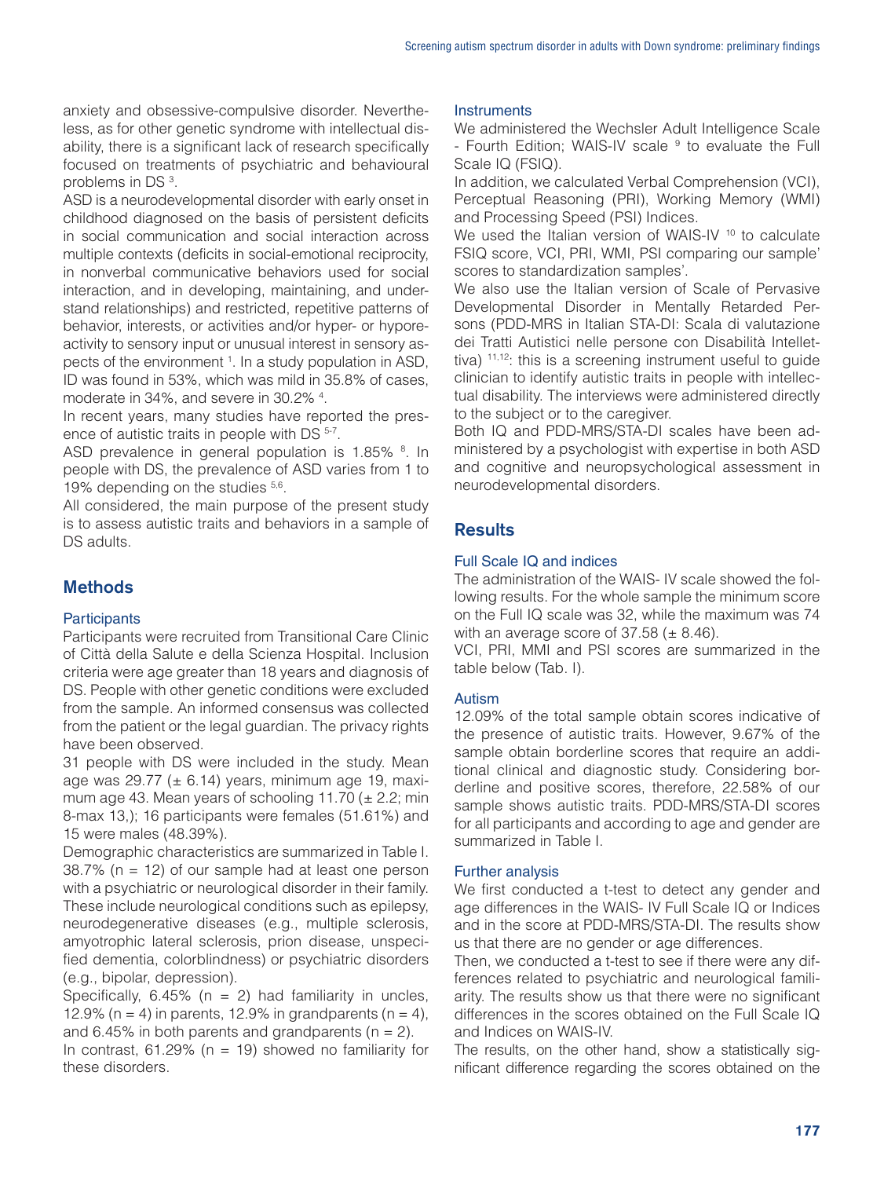anxiety and obsessive-compulsive disorder. Nevertheless, as for other genetic syndrome with intellectual disability, there is a significant lack of research specifically focused on treatments of psychiatric and behavioural problems in DS<sup>3</sup>.

ASD is a neurodevelopmental disorder with early onset in childhood diagnosed on the basis of persistent deficits in social communication and social interaction across multiple contexts (deficits in social-emotional reciprocity, in nonverbal communicative behaviors used for social interaction, and in developing, maintaining, and understand relationships) and restricted, repetitive patterns of behavior, interests, or activities and/or hyper- or hyporeactivity to sensory input or unusual interest in sensory aspects of the environment <sup>1</sup>. In a study population in ASD, ID was found in 53%, which was mild in 35.8% of cases, moderate in 34%, and severe in 30.2% 4 .

In recent years, many studies have reported the presence of autistic traits in people with DS  $5-7$ .

ASD prevalence in general population is 1.85% <sup>8</sup>. In people with DS, the prevalence of ASD varies from 1 to 19% depending on the studies  $5,6$ .

All considered, the main purpose of the present study is to assess autistic traits and behaviors in a sample of DS adults.

# **Methods**

### **Participants**

Participants were recruited from Transitional Care Clinic of Città della Salute e della Scienza Hospital. Inclusion criteria were age greater than 18 years and diagnosis of DS. People with other genetic conditions were excluded from the sample. An informed consensus was collected from the patient or the legal guardian. The privacy rights have been observed.

31 people with DS were included in the study. Mean age was 29.77 ( $\pm$  6.14) years, minimum age 19, maximum age 43. Mean years of schooling 11.70 ( $\pm$  2.2; min 8-max 13,); 16 participants were females (51.61%) and 15 were males (48.39%).

Demographic characteristics are summarized in Table I.  $38.7\%$  (n = 12) of our sample had at least one person with a psychiatric or neurological disorder in their family. These include neurological conditions such as epilepsy, neurodegenerative diseases (e.g., multiple sclerosis, amyotrophic lateral sclerosis, prion disease, unspecified dementia, colorblindness) or psychiatric disorders (e.g., bipolar, depression).

Specifically,  $6.45\%$  (n = 2) had familiarity in uncles, 12.9% (n = 4) in parents, 12.9% in grandparents (n = 4), and 6.45% in both parents and grandparents ( $n = 2$ ).

In contrast, 61.29% ( $n = 19$ ) showed no familiarity for these disorders.

### **Instruments**

We administered the Wechsler Adult Intelligence Scale - Fourth Edition; WAIS-IV scale <sup>9</sup> to evaluate the Full Scale IQ (FSIQ).

In addition, we calculated Verbal Comprehension (VCI), Perceptual Reasoning (PRI), Working Memory (WMI) and Processing Speed (PSI) Indices.

We used the Italian version of WAIS-IV <sup>10</sup> to calculate FSIQ score, VCI, PRI, WMI, PSI comparing our sample' scores to standardization samples'.

We also use the Italian version of Scale of Pervasive Developmental Disorder in Mentally Retarded Persons (PDD-MRS in Italian STA-DI: Scala di valutazione dei Tratti Autistici nelle persone con Disabilità Intellettiva) 11,12: this is a screening instrument useful to guide clinician to identify autistic traits in people with intellectual disability. The interviews were administered directly to the subject or to the caregiver.

Both IQ and PDD-MRS/STA-DI scales have been administered by a psychologist with expertise in both ASD and cognitive and neuropsychological assessment in neurodevelopmental disorders.

# **Results**

## Full Scale IQ and indices

The administration of the WAIS- IV scale showed the following results. For the whole sample the minimum score on the Full IQ scale was 32, while the maximum was 74 with an average score of  $37.58$  ( $\pm 8.46$ ).

VCI, PRI, MMI and PSI scores are summarized in the table below (Tab. I).

### Autism

12.09% of the total sample obtain scores indicative of the presence of autistic traits. However, 9.67% of the sample obtain borderline scores that require an additional clinical and diagnostic study. Considering borderline and positive scores, therefore, 22.58% of our sample shows autistic traits. PDD-MRS/STA-DI scores for all participants and according to age and gender are summarized in Table I.

### Further analysis

We first conducted a t-test to detect any gender and age differences in the WAIS- IV Full Scale IQ or Indices and in the score at PDD-MRS/STA-DI. The results show us that there are no gender or age differences.

Then, we conducted a t-test to see if there were any differences related to psychiatric and neurological familiarity. The results show us that there were no significant differences in the scores obtained on the Full Scale IQ and Indices on WAIS-IV.

The results, on the other hand, show a statistically significant difference regarding the scores obtained on the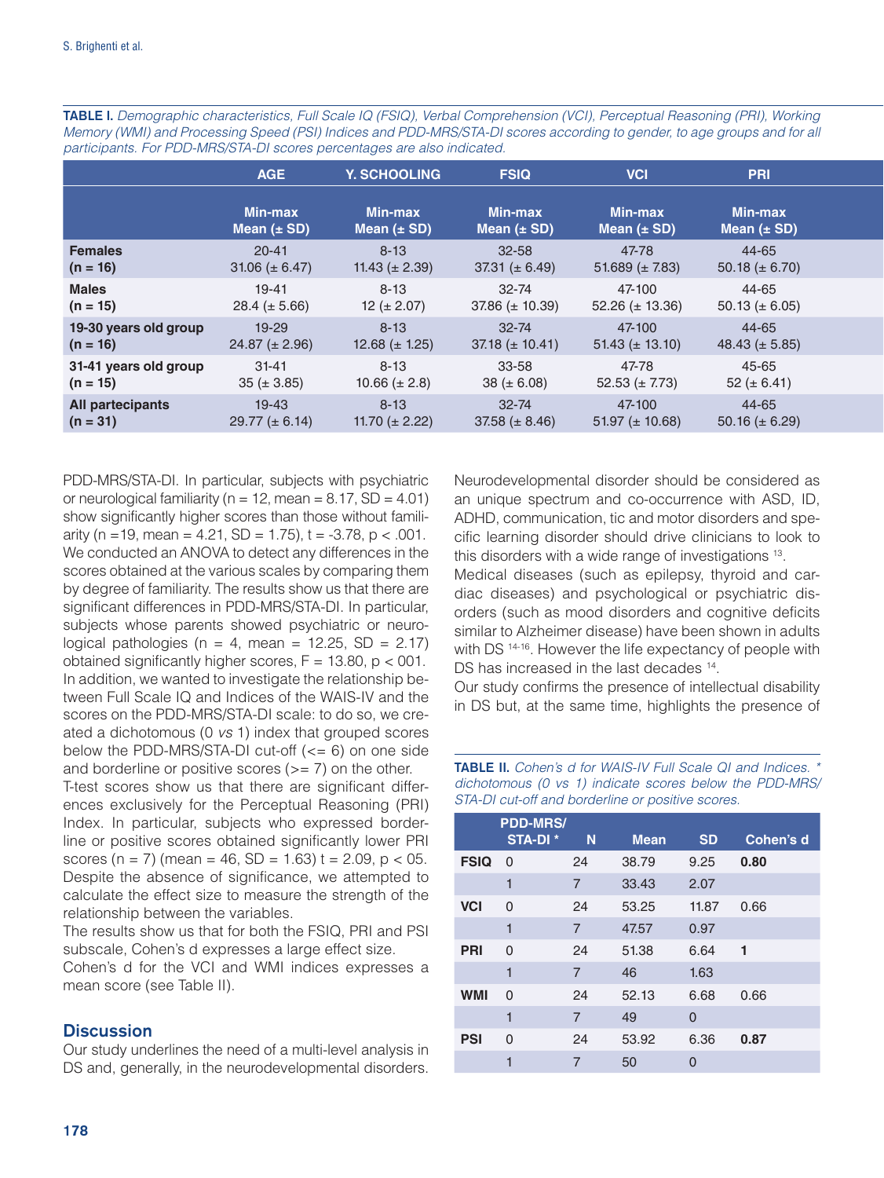|                       | AGE                               | Y. SCHOOLING               | <b>FSIQ</b>                | <b>VCI</b>                 | <b>PRI</b>                        |  |
|-----------------------|-----------------------------------|----------------------------|----------------------------|----------------------------|-----------------------------------|--|
|                       | <b>Min-max</b><br>Mean $(\pm SD)$ | Min-max<br>Mean $(\pm SD)$ | Min-max<br>Mean $(\pm SD)$ | Min-max<br>Mean $(\pm SD)$ | <b>Min-max</b><br>Mean $(\pm SD)$ |  |
| <b>Females</b>        | $20 - 41$                         | $8 - 13$                   | $32 - 58$                  | 47-78                      | 44-65                             |  |
| $(n = 16)$            | 31.06 ( $\pm$ 6.47)               | 11.43 $(\pm 2.39)$         | 37.31 ( $\pm$ 6.49)        | 51.689 $(\pm 7.83)$        | 50.18 $(\pm 6.70)$                |  |
| <b>Males</b>          | $19 - 41$                         | $8 - 13$                   | $32 - 74$                  | 47-100                     | 44-65                             |  |
| $(n = 15)$            | 28.4 ( $\pm$ 5.66)                | 12 ( $\pm$ 2.07)           | 37.86 ( $\pm$ 10.39)       | 52.26 $(\pm 13.36)$        | 50.13 ( $\pm$ 6.05)               |  |
| 19-30 years old group | $19 - 29$                         | $8 - 13$                   | $32 - 74$                  | 47-100                     | 44-65                             |  |
| $(n = 16)$            | $24.87 (\pm 2.96)$                | 12.68 $(\pm 1.25)$         | $37.18 (\pm 10.41)$        | $51.43 \ (\pm 13.10)$      | 48.43 ( $\pm$ 5.85)               |  |
| 31-41 years old group | $31 - 41$                         | $8 - 13$                   | 33-58                      | 47-78                      | 45-65                             |  |
| $(n = 15)$            | $35 (\pm 3.85)$                   | 10.66 $(\pm 2.8)$          | 38 ( $\pm$ 6.08)           | 52.53 ( $\pm$ 7.73)        | 52 ( $\pm$ 6.41)                  |  |
| All partecipants      | $19 - 43$                         | $8 - 13$                   | $32 - 74$                  | 47-100                     | 44-65                             |  |
| $(n = 31)$            | $29.77 \ (\pm 6.14)$              | 11.70 ( $\pm$ 2.22)        | 37.58 ( $\pm$ 8.46)        | 51.97 ( $\pm$ 10.68)       | 50.16 ( $\pm$ 6.29)               |  |

TABLE I. *Demographic characteristics, Full Scale IQ (FSIQ), Verbal Comprehension (VCI), Perceptual Reasoning (PRI), Working Memory (WMI) and Processing Speed (PSI) Indices and PDD-MRS/STA-DI scores according to gender, to age groups and for all participants. For PDD-MRS/STA-DI scores percentages are also indicated.*

PDD-MRS/STA-DI. In particular, subjects with psychiatric or neurological familiarity ( $n = 12$ , mean = 8.17, SD = 4.01) show significantly higher scores than those without familiarity (n = 19, mean = 4.21, SD = 1.75), t = -3.78, p < .001. We conducted an ANOVA to detect any differences in the scores obtained at the various scales by comparing them by degree of familiarity. The results show us that there are significant differences in PDD-MRS/STA-DI. In particular, subjects whose parents showed psychiatric or neurological pathologies ( $n = 4$ , mean = 12.25, SD = 2.17) obtained significantly higher scores,  $F = 13.80$ ,  $p < 001$ . In addition, we wanted to investigate the relationship between Full Scale IQ and Indices of the WAIS-IV and the scores on the PDD-MRS/STA-DI scale: to do so, we created a dichotomous (0 *vs* 1) index that grouped scores below the PDD-MRS/STA-DI cut-off  $(<= 6)$  on one side and borderline or positive scores  $(>= 7)$  on the other.

T-test scores show us that there are significant differences exclusively for the Perceptual Reasoning (PRI) Index. In particular, subjects who expressed borderline or positive scores obtained significantly lower PRI scores (n = 7) (mean = 46, SD = 1.63) t = 2.09,  $p < 05$ . Despite the absence of significance, we attempted to calculate the effect size to measure the strength of the relationship between the variables.

The results show us that for both the FSIQ, PRI and PSI subscale, Cohen's d expresses a large effect size.

Cohen's d for the VCI and WMI indices expresses a mean score (see Table II).

# **Discussion**

Our study underlines the need of a multi-level analysis in DS and, generally, in the neurodevelopmental disorders.

Neurodevelopmental disorder should be considered as an unique spectrum and co-occurrence with ASD, ID, ADHD, communication, tic and motor disorders and specific learning disorder should drive clinicians to look to this disorders with a wide range of investigations 13.

Medical diseases (such as epilepsy, thyroid and cardiac diseases) and psychological or psychiatric disorders (such as mood disorders and cognitive deficits similar to Alzheimer disease) have been shown in adults with DS<sup>14-16</sup>. However the life expectancy of people with DS has increased in the last decades <sup>14</sup>.

Our study confirms the presence of intellectual disability in DS but, at the same time, highlights the presence of

**PDD-MRS/ STA-DI \* N Mean SD Cohen's d FSIQ** 0 24 38.79 9.25 **0.80** 1 7 33.43 2.07 **VCI** 0 24 53.25 11.87 0.66 1 7 47.57 0.97 **PRI** 0 24 51.38 6.64 **1** 1 7 46 1.63 **WMI** 0 24 52.13 6.68 0.66 1 7 49 0 **PSI** 0 24 53.92 6.36 **0.87** 1 7 50 0

TABLE II. *Cohen's d for WAIS-IV Full Scale QI and Indices. \* dichotomous (0 vs 1) indicate scores below the PDD-MRS/ STA-DI cut-off and borderline or positive scores.*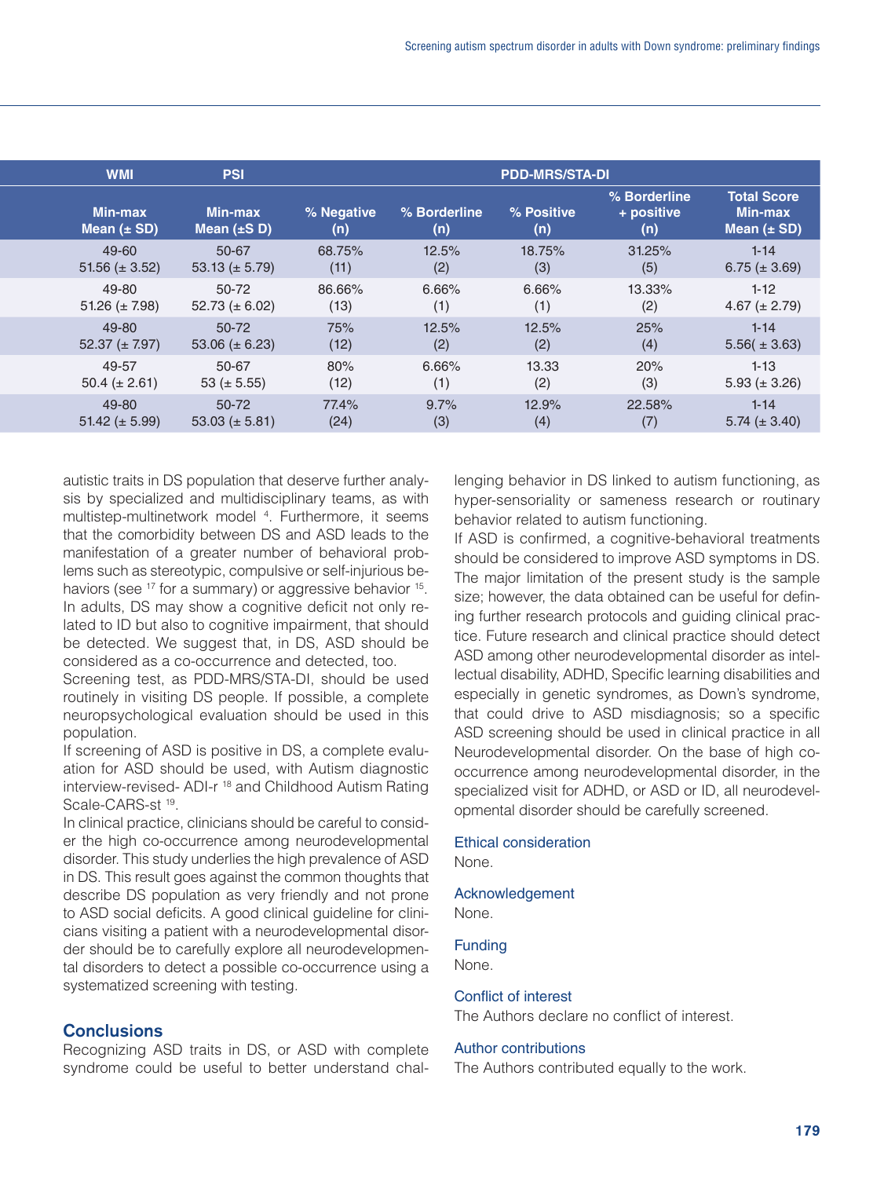| <b>WMI</b>                        | <b>PSI</b>                         | <b>PDD-MRS/STA-DI</b> |                     |                   |                                   |                                                         |
|-----------------------------------|------------------------------------|-----------------------|---------------------|-------------------|-----------------------------------|---------------------------------------------------------|
| <b>Min-max</b><br>Mean $(\pm SD)$ | <b>Min-max</b><br>Mean $(\pm S D)$ | % Negative<br>(n)     | % Borderline<br>(n) | % Positive<br>(n) | % Borderline<br>+ positive<br>(n) | <b>Total Score</b><br><b>Min-max</b><br>Mean $(\pm SD)$ |
| 49-60                             | 50-67                              | 68.75%                | 12.5%               | 18.75%            | 31.25%                            | $1 - 14$                                                |
| 51.56 ( $\pm$ 3.52)               | 53.13 ( $\pm$ 5.79)                | (11)                  | (2)                 | (3)               | (5)                               | 6.75 $(\pm 3.69)$                                       |
| 49-80                             | 50-72                              | 86.66%                | 6.66%               | 6.66%             | 13.33%                            | $1 - 12$                                                |
| 51.26 ( $\pm$ 7.98)               | 52.73 ( $\pm$ 6.02)                | (13)                  | (1)                 | (1)               | (2)                               | 4.67 $(\pm 2.79)$                                       |
| 49-80                             | 50-72                              | 75%                   | 12.5%               | 12.5%             | 25%                               | $1 - 14$                                                |
| $52.37 (\pm 7.97)$                | 53.06 ( $\pm$ 6.23)                | (12)                  | (2)                 | (2)               | (4)                               | $5.56(\pm 3.63)$                                        |
| 49-57                             | 50-67                              | 80%                   | 6.66%               | 13.33             | 20%                               | $1 - 13$                                                |
| 50.4 ( $\pm$ 2.61)                | 53 ( $\pm$ 5.55)                   | (12)                  | (1)                 | (2)               | (3)                               | 5.93 $(\pm 3.26)$                                       |
| 49-80                             | 50-72                              | 77.4%                 | 9.7%                | 12.9%             | 22.58%                            | $1 - 14$                                                |
| 51.42 ( $\pm$ 5.99)               | 53.03 ( $\pm$ 5.81)                | (24)                  | (3)                 | (4)               | (7)                               | $5.74 \ (\pm 3.40)$                                     |
|                                   |                                    |                       |                     |                   |                                   |                                                         |

autistic traits in DS population that deserve further analysis by specialized and multidisciplinary teams, as with multistep-multinetwork model <sup>4</sup> . Furthermore, it seems that the comorbidity between DS and ASD leads to the manifestation of a greater number of behavioral problems such as stereotypic, compulsive or self-injurious behaviors (see <sup>17</sup> for a summary) or aggressive behavior <sup>15</sup>. In adults, DS may show a cognitive deficit not only related to ID but also to cognitive impairment, that should be detected. We suggest that, in DS, ASD should be considered as a co-occurrence and detected, too.

Screening test, as PDD-MRS/STA-DI, should be used routinely in visiting DS people. If possible, a complete neuropsychological evaluation should be used in this population.

If screening of ASD is positive in DS, a complete evaluation for ASD should be used, with Autism diagnostic interview-revised- ADI-r 18 and Childhood Autism Rating Scale-CARS-st 19.

In clinical practice, clinicians should be careful to consider the high co-occurrence among neurodevelopmental disorder. This study underlies the high prevalence of ASD in DS. This result goes against the common thoughts that describe DS population as very friendly and not prone to ASD social deficits. A good clinical guideline for clinicians visiting a patient with a neurodevelopmental disorder should be to carefully explore all neurodevelopmental disorders to detect a possible co-occurrence using a systematized screening with testing.

### **Conclusions**

Recognizing ASD traits in DS, or ASD with complete syndrome could be useful to better understand challenging behavior in DS linked to autism functioning, as hyper-sensoriality or sameness research or routinary behavior related to autism functioning.

If ASD is confirmed, a cognitive-behavioral treatments should be considered to improve ASD symptoms in DS. The major limitation of the present study is the sample size; however, the data obtained can be useful for defining further research protocols and guiding clinical practice. Future research and clinical practice should detect ASD among other neurodevelopmental disorder as intellectual disability, ADHD, Specific learning disabilities and especially in genetic syndromes, as Down's syndrome, that could drive to ASD misdiagnosis; so a specific ASD screening should be used in clinical practice in all Neurodevelopmental disorder. On the base of high cooccurrence among neurodevelopmental disorder, in the specialized visit for ADHD, or ASD or ID, all neurodevelopmental disorder should be carefully screened.

#### Ethical consideration

None.

#### Acknowledgement

None.

#### Funding

None.

#### Conflict of interest

The Authors declare no conflict of interest.

#### Author contributions

The Authors contributed equally to the work.